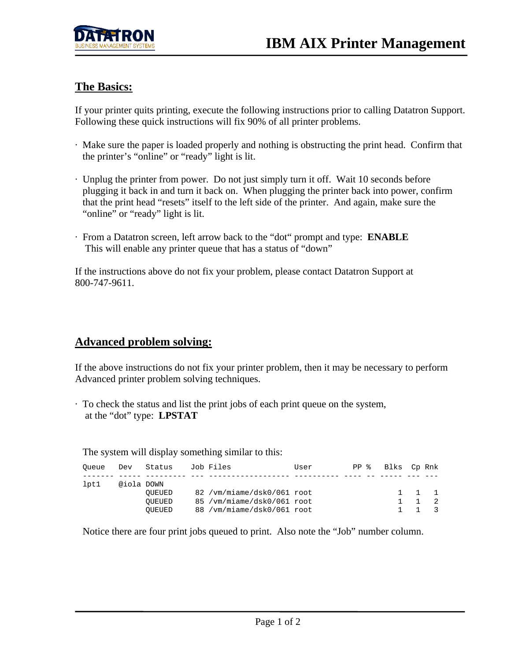

## **The Basics:**

If your printer quits printing, execute the following instructions prior to calling Datatron Support. Following these quick instructions will fix 90% of all printer problems.

- · Make sure the paper is loaded properly and nothing is obstructing the print head. Confirm that the printer's "online" or "ready" light is lit.
- · Unplug the printer from power. Do not just simply turn it off. Wait 10 seconds before plugging it back in and turn it back on. When plugging the printer back into power, confirm that the print head "resets" itself to the left side of the printer. And again, make sure the "online" or "ready" light is lit.
- · From a Datatron screen, left arrow back to the "dot" prompt and type: **ENABLE** This will enable any printer queue that has a status of "down"

If the instructions above do not fix your problem, please contact Datatron Support at 800-747-9611.

## **Advanced problem solving:**

If the above instructions do not fix your printer problem, then it may be necessary to perform Advanced printer problem solving techniques.

· To check the status and list the print jobs of each print queue on the system, at the "dot" type: **LPSTAT**

The system will display something similar to this:

| Oueue | Dev        | Status                     | Job Files                                                                                | User | PP 응 | Blks  Cp Rnk |                |                     |
|-------|------------|----------------------------|------------------------------------------------------------------------------------------|------|------|--------------|----------------|---------------------|
| lpt1  | @iola DOWN | OUEUED<br>OUEUED<br>OUEUED | 82 /vm/miame/dsk0/061 root<br>85 / vm/miame/dsk0/061 root<br>88 / vm/miame/dsk0/061 root |      |      | $\mathbf{1}$ | $\overline{1}$ | $1 \quad 1 \quad 1$ |

Notice there are four print jobs queued to print. Also note the "Job" number column.